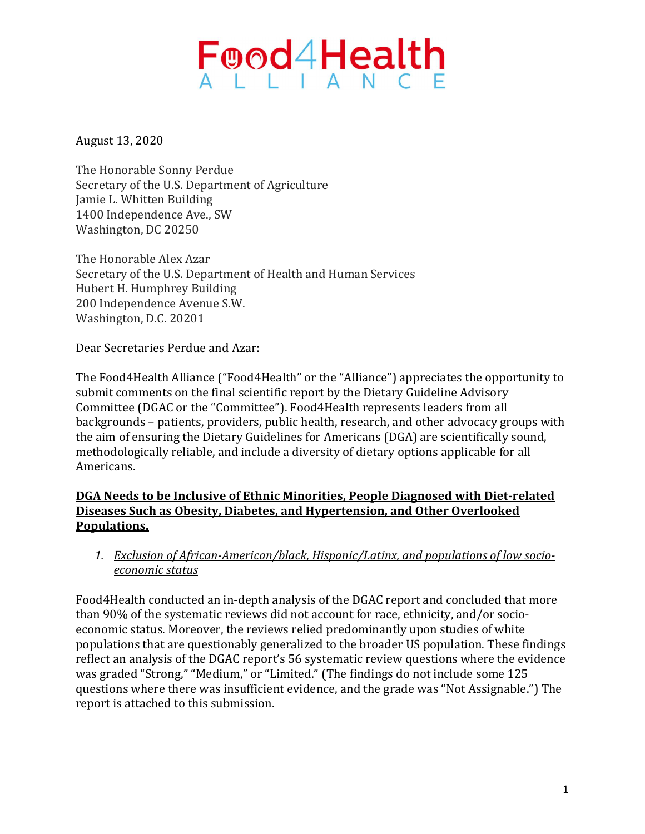August 13, 2020

The Honorable Sonny Perdue Secretary of the U.S. Department of Agriculture Jamie L. Whitten Building 1400 Independence Ave., SW Washington, DC 20250

The Honorable Alex Azar Secretary of the U.S. Department of Health and Human Services Hubert H. Humphrey Building 200 Independence Avenue S.W. Washington, D.C. 20201

Dear Secretaries Perdue and Azar:

The Food4Health Alliance ("Food4Health" or the "Alliance") appreciates the opportunity to submit comments on the final scientific report by the Dietary Guideline Advisory Committee (DGAC or the "Committee"). Food4Health represents leaders from all backgrounds – patients, providers, public health, research, and other advocacy groups with the aim of ensuring the Dietary Guidelines for Americans (DGA) are scientifically sound, methodologically reliable, and include a diversity of dietary options applicable for all Americans.

### DGA Needs to be Inclusive of Ethnic Minorities, People Diagnosed with Diet-related Diseases Such as Obesity, Diabetes, and Hypertension, and Other Overlooked Populations.

1. Exclusion of African-American/black, Hispanic/Latinx, and populations of low socioeconomic status

Food4Health conducted an in-depth analysis of the DGAC report and concluded that more than 90% of the systematic reviews did not account for race, ethnicity, and/or socioeconomic status. Moreover, the reviews relied predominantly upon studies of white populations that are questionably generalized to the broader US population. These findings reflect an analysis of the DGAC report's 56 systematic review questions where the evidence was graded "Strong," "Medium," or "Limited." (The findings do not include some 125 questions where there was insufficient evidence, and the grade was "Not Assignable.") The report is attached to this submission.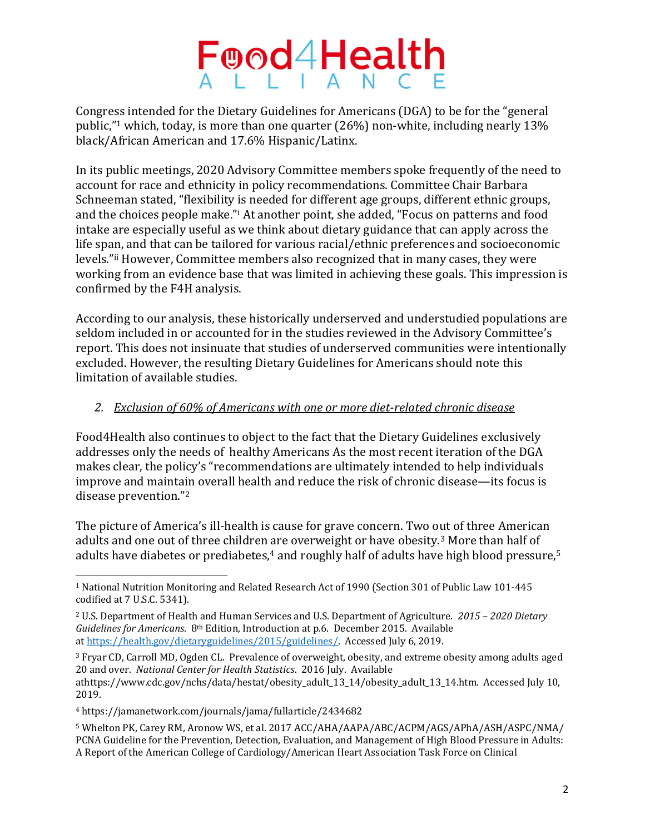Congress intended for the Dietary Guidelines for Americans (DGA) to be for the "general public,"1 which, today, is more than one quarter (26%) non-white, including nearly 13% black/African American and 17.6% Hispanic/Latinx.

In its public meetings, 2020 Advisory Committee members spoke frequently of the need to account for race and ethnicity in policy recommendations. Committee Chair Barbara Schneeman stated, "flexibility is needed for different age groups, different ethnic groups, and the choices people make."<sup>i</sup> At another point, she added, "Focus on patterns and food intake are especially useful as we think about dietary guidance that can apply across the life span, and that can be tailored for various racial/ethnic preferences and socioeconomic levels."ii However, Committee members also recognized that in many cases, they were working from an evidence base that was limited in achieving these goals. This impression is confirmed by the F4H analysis.

According to our analysis, these historically underserved and understudied populations are seldom included in or accounted for in the studies reviewed in the Advisory Committee's report. This does not insinuate that studies of underserved communities were intentionally excluded. However, the resulting Dietary Guidelines for Americans should note this limitation of available studies.

### 2. Exclusion of 60% of Americans with one or more diet-related chronic disease

Food4Health also continues to object to the fact that the Dietary Guidelines exclusively addresses only the needs of healthy Americans As the most recent iteration of the DGA makes clear, the policy's "recommendations are ultimately intended to help individuals improve and maintain overall health and reduce the risk of chronic disease—its focus is disease prevention."<sup>2</sup>

The picture of America's ill-health is cause for grave concern. Two out of three American adults and one out of three children are overweight or have obesity.3 More than half of adults have diabetes or prediabetes, $4$  and roughly half of adults have high blood pressure, $5$ 

2019.

<sup>1</sup> National Nutrition Monitoring and Related Research Act of 1990 (Section 301 of Public Law 101-445 codified at 7 U.S.C. 5341).

<sup>2</sup> U.S. Department of Health and Human Services and U.S. Department of Agriculture. 2015 – 2020 Dietary Guidelines for Americans. 8th Edition, Introduction at p.6. December 2015. Available at https://health.gov/dietaryguidelines/2015/guidelines/. Accessed July 6, 2019.

<sup>3</sup> Fryar CD, Carroll MD, Ogden CL. Prevalence of overweight, obesity, and extreme obesity among adults aged 20 and over. National Center for Health Statistics. 2016 July. Available athttps://www.cdc.gov/nchs/data/hestat/obesity\_adult\_13\_14/obesity\_adult\_13\_14.htm. Accessed July 10,

<sup>4</sup> https://jamanetwork.com/journals/jama/fullarticle/2434682

<sup>5</sup> Whelton PK, Carey RM, Aronow WS, et al. 2017 ACC/AHA/AAPA/ABC/ACPM/AGS/APhA/ASH/ASPC/NMA/ PCNA Guideline for the Prevention, Detection, Evaluation, and Management of High Blood Pressure in Adults: A Report of the American College of Cardiology/American Heart Association Task Force on Clinical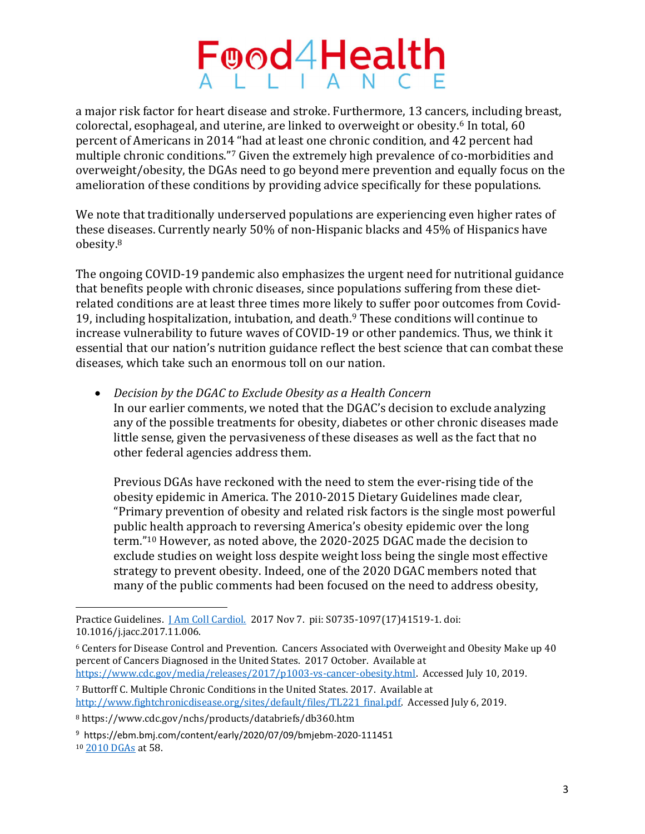a major risk factor for heart disease and stroke. Furthermore, 13 cancers, including breast, colorectal, esophageal, and uterine, are linked to overweight or obesity.6 In total, 60 percent of Americans in 2014 "had at least one chronic condition, and 42 percent had multiple chronic conditions."7 Given the extremely high prevalence of co-morbidities and overweight/obesity, the DGAs need to go beyond mere prevention and equally focus on the amelioration of these conditions by providing advice specifically for these populations.

We note that traditionally underserved populations are experiencing even higher rates of these diseases. Currently nearly 50% of non-Hispanic blacks and 45% of Hispanics have obesity.<sup>8</sup>

The ongoing COVID-19 pandemic also emphasizes the urgent need for nutritional guidance that benefits people with chronic diseases, since populations suffering from these dietrelated conditions are at least three times more likely to suffer poor outcomes from Covid-19, including hospitalization, intubation, and death.9 These conditions will continue to increase vulnerability to future waves of COVID-19 or other pandemics. Thus, we think it essential that our nation's nutrition guidance reflect the best science that can combat these diseases, which take such an enormous toll on our nation.

 Decision by the DGAC to Exclude Obesity as a Health Concern In our earlier comments, we noted that the DGAC's decision to exclude analyzing any of the possible treatments for obesity, diabetes or other chronic diseases made little sense, given the pervasiveness of these diseases as well as the fact that no other federal agencies address them.

Previous DGAs have reckoned with the need to stem the ever-rising tide of the obesity epidemic in America. The 2010-2015 Dietary Guidelines made clear, "Primary prevention of obesity and related risk factors is the single most powerful public health approach to reversing America's obesity epidemic over the long term."10 However, as noted above, the 2020-2025 DGAC made the decision to exclude studies on weight loss despite weight loss being the single most effective strategy to prevent obesity. Indeed, one of the 2020 DGAC members noted that many of the public comments had been focused on the need to address obesity,

Practice Guidelines. J Am Coll Cardiol. 2017 Nov 7. pii: S0735-1097(17)41519-1. doi: 10.1016/j.jacc.2017.11.006.

<sup>6</sup> Centers for Disease Control and Prevention. Cancers Associated with Overweight and Obesity Make up 40 percent of Cancers Diagnosed in the United States. 2017 October. Available at https://www.cdc.gov/media/releases/2017/p1003-vs-cancer-obesity.html. Accessed July 10, 2019.

<sup>7</sup> Buttorff C. Multiple Chronic Conditions in the United States. 2017. Available at http://www.fightchronicdisease.org/sites/default/files/TL221\_final.pdf. Accessed July 6, 2019.

<sup>8</sup> https://www.cdc.gov/nchs/products/databriefs/db360.htm

<sup>9</sup> https://ebm.bmj.com/content/early/2020/07/09/bmjebm-2020-111451 <sup>10</sup> 2010 DGAs at 58.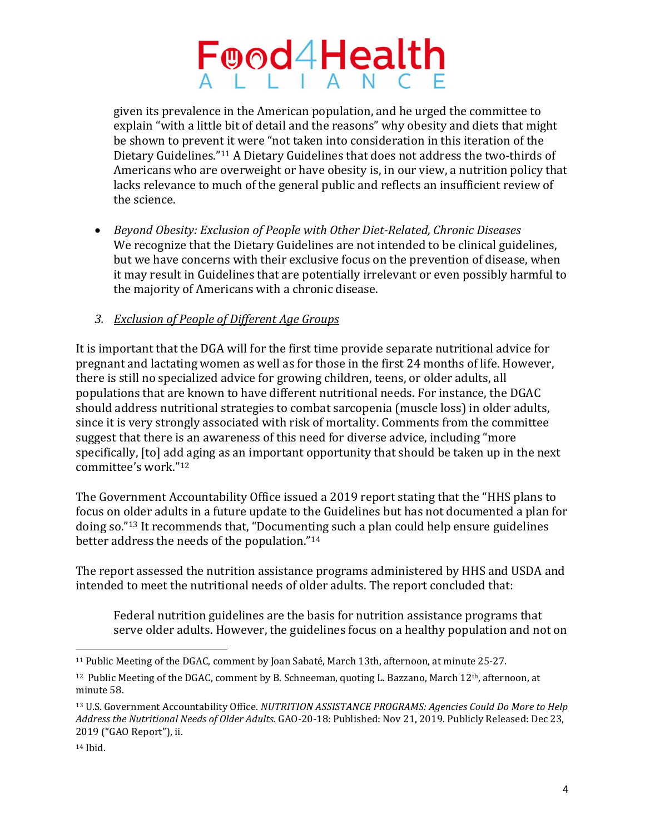given its prevalence in the American population, and he urged the committee to explain "with a little bit of detail and the reasons" why obesity and diets that might be shown to prevent it were "not taken into consideration in this iteration of the Dietary Guidelines."11 A Dietary Guidelines that does not address the two-thirds of Americans who are overweight or have obesity is, in our view, a nutrition policy that lacks relevance to much of the general public and reflects an insufficient review of the science.

- Beyond Obesity: Exclusion of People with Other Diet-Related, Chronic Diseases We recognize that the Dietary Guidelines are not intended to be clinical guidelines, but we have concerns with their exclusive focus on the prevention of disease, when it may result in Guidelines that are potentially irrelevant or even possibly harmful to the majority of Americans with a chronic disease.
- 3. Exclusion of People of Different Age Groups

It is important that the DGA will for the first time provide separate nutritional advice for pregnant and lactating women as well as for those in the first 24 months of life. However, there is still no specialized advice for growing children, teens, or older adults, all populations that are known to have different nutritional needs. For instance, the DGAC should address nutritional strategies to combat sarcopenia (muscle loss) in older adults, since it is very strongly associated with risk of mortality. Comments from the committee suggest that there is an awareness of this need for diverse advice, including "more specifically, [to] add aging as an important opportunity that should be taken up in the next committee's work."<sup>12</sup>

The Government Accountability Office issued a 2019 report stating that the "HHS plans to focus on older adults in a future update to the Guidelines but has not documented a plan for doing so."13 It recommends that, "Documenting such a plan could help ensure guidelines better address the needs of the population."<sup>14</sup>

The report assessed the nutrition assistance programs administered by HHS and USDA and intended to meet the nutritional needs of older adults. The report concluded that:

Federal nutrition guidelines are the basis for nutrition assistance programs that serve older adults. However, the guidelines focus on a healthy population and not on

<sup>11</sup> Public Meeting of the DGAC, comment by Joan Sabaté, March 13th, afternoon, at minute 25-27.

<sup>&</sup>lt;sup>12</sup> Public Meeting of the DGAC, comment by B. Schneeman, quoting L. Bazzano, March  $12<sup>th</sup>$ , afternoon, at minute 58.

<sup>&</sup>lt;sup>13</sup> U.S. Government Accountability Office. NUTRITION ASSISTANCE PROGRAMS: Agencies Could Do More to Help Address the Nutritional Needs of Older Adults. GAO-20-18: Published: Nov 21, 2019. Publicly Released: Dec 23, 2019 ("GAO Report"), ii.

<sup>14</sup> Ibid.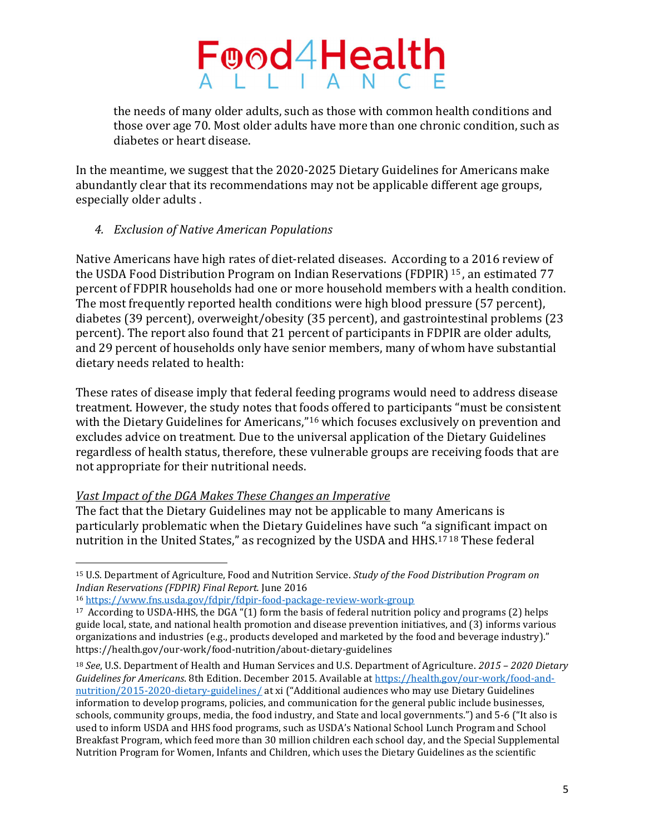the needs of many older adults, such as those with common health conditions and those over age 70. Most older adults have more than one chronic condition, such as diabetes or heart disease.

In the meantime, we suggest that the 2020-2025 Dietary Guidelines for Americans make abundantly clear that its recommendations may not be applicable different age groups, especially older adults .

### 4. Exclusion of Native American Populations

Native Americans have high rates of diet-related diseases. According to a 2016 review of the USDA Food Distribution Program on Indian Reservations (FDPIR) 15 , an estimated 77 percent of FDPIR households had one or more household members with a health condition. The most frequently reported health conditions were high blood pressure (57 percent), diabetes (39 percent), overweight/obesity (35 percent), and gastrointestinal problems (23 percent). The report also found that 21 percent of participants in FDPIR are older adults, and 29 percent of households only have senior members, many of whom have substantial dietary needs related to health:

These rates of disease imply that federal feeding programs would need to address disease treatment. However, the study notes that foods offered to participants "must be consistent with the Dietary Guidelines for Americans,"<sup>16</sup> which focuses exclusively on prevention and excludes advice on treatment. Due to the universal application of the Dietary Guidelines regardless of health status, therefore, these vulnerable groups are receiving foods that are not appropriate for their nutritional needs.

### Vast Impact of the DGA Makes These Changes an Imperative

The fact that the Dietary Guidelines may not be applicable to many Americans is particularly problematic when the Dietary Guidelines have such "a significant impact on nutrition in the United States," as recognized by the USDA and HHS.17 18 These federal

<sup>&</sup>lt;sup>15</sup> U.S. Department of Agriculture, Food and Nutrition Service. Study of the Food Distribution Program on Indian Reservations (FDPIR) Final Report. June 2016

<sup>16</sup> https://www.fns.usda.gov/fdpir/fdpir-food-package-review-work-group

<sup>17</sup> According to USDA-HHS, the DGA "(1) form the basis of federal nutrition policy and programs (2) helps guide local, state, and national health promotion and disease prevention initiatives, and (3) informs various organizations and industries (e.g., products developed and marketed by the food and beverage industry)." https://health.gov/our-work/food-nutrition/about-dietary-guidelines

<sup>&</sup>lt;sup>18</sup> See, U.S. Department of Health and Human Services and U.S. Department of Agriculture. 2015 – 2020 Dietary Guidelines for Americans. 8th Edition. December 2015. Available at https://health.gov/our-work/food-andnutrition/2015-2020-dietary-guidelines/ at xi ("Additional audiences who may use Dietary Guidelines information to develop programs, policies, and communication for the general public include businesses, schools, community groups, media, the food industry, and State and local governments.") and 5-6 ("It also is used to inform USDA and HHS food programs, such as USDA's National School Lunch Program and School Breakfast Program, which feed more than 30 million children each school day, and the Special Supplemental Nutrition Program for Women, Infants and Children, which uses the Dietary Guidelines as the scientific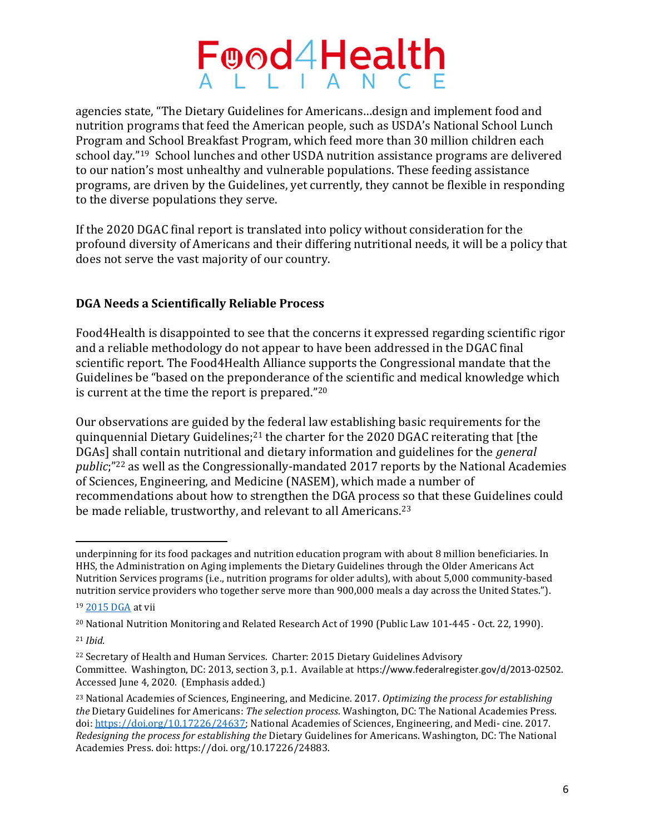agencies state, "The Dietary Guidelines for Americans…design and implement food and nutrition programs that feed the American people, such as USDA's National School Lunch Program and School Breakfast Program, which feed more than 30 million children each school day."19 School lunches and other USDA nutrition assistance programs are delivered to our nation's most unhealthy and vulnerable populations. These feeding assistance programs, are driven by the Guidelines, yet currently, they cannot be flexible in responding to the diverse populations they serve.

If the 2020 DGAC final report is translated into policy without consideration for the profound diversity of Americans and their differing nutritional needs, it will be a policy that does not serve the vast majority of our country.

### DGA Needs a Scientifically Reliable Process

Food4Health is disappointed to see that the concerns it expressed regarding scientific rigor and a reliable methodology do not appear to have been addressed in the DGAC final scientific report. The Food4Health Alliance supports the Congressional mandate that the Guidelines be "based on the preponderance of the scientific and medical knowledge which is current at the time the report is prepared."<sup>20</sup>

Our observations are guided by the federal law establishing basic requirements for the quinquennial Dietary Guidelines;21 the charter for the 2020 DGAC reiterating that [the DGAs] shall contain nutritional and dietary information and guidelines for the general public;"22 as well as the Congressionally-mandated 2017 reports by the National Academies of Sciences, Engineering, and Medicine (NASEM), which made a number of recommendations about how to strengthen the DGA process so that these Guidelines could be made reliable, trustworthy, and relevant to all Americans.<sup>23</sup>

 $21$  *Ihid*.

underpinning for its food packages and nutrition education program with about 8 million beneficiaries. In HHS, the Administration on Aging implements the Dietary Guidelines through the Older Americans Act Nutrition Services programs (i.e., nutrition programs for older adults), with about 5,000 community-based nutrition service providers who together serve more than 900,000 meals a day across the United States.").

<sup>19</sup> 2015 DGA at vii

<sup>20</sup> National Nutrition Monitoring and Related Research Act of 1990 (Public Law 101-445 - Oct. 22, 1990).

<sup>22</sup> Secretary of Health and Human Services. Charter: 2015 Dietary Guidelines Advisory Committee. Washington, DC: 2013, section 3, p.1. Available at https://www.federalregister.gov/d/2013-02502. Accessed June 4, 2020. (Emphasis added.)

<sup>&</sup>lt;sup>23</sup> National Academies of Sciences, Engineering, and Medicine. 2017. Optimizing the process for establishing the Dietary Guidelines for Americans: The selection process. Washington, DC: The National Academies Press. doi: https://doi.org/10.17226/24637; National Academies of Sciences, Engineering, and Medi- cine. 2017. Redesigning the process for establishing the Dietary Guidelines for Americans. Washington, DC: The National Academies Press. doi: https://doi. org/10.17226/24883.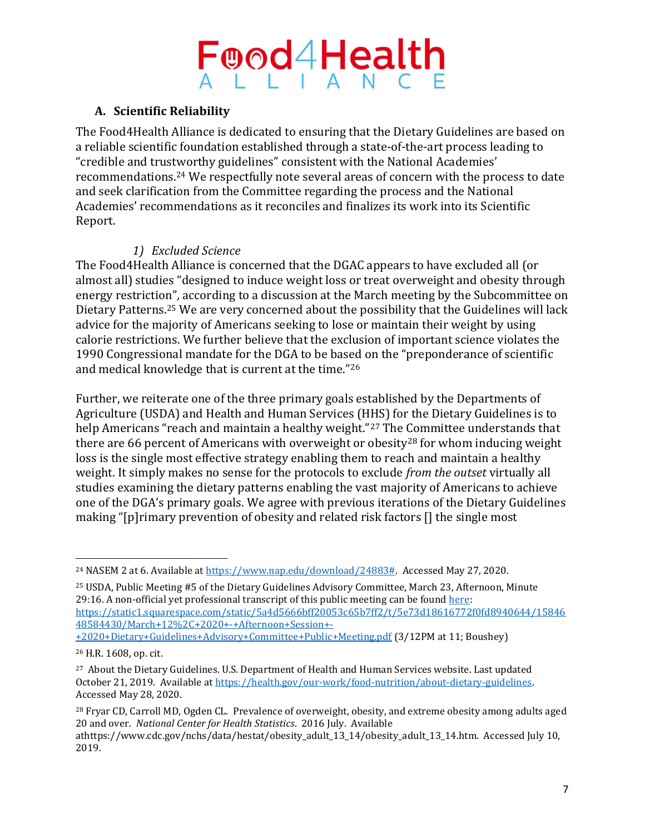### A. Scientific Reliability

The Food4Health Alliance is dedicated to ensuring that the Dietary Guidelines are based on a reliable scientific foundation established through a state-of-the-art process leading to "credible and trustworthy guidelines" consistent with the National Academies' recommendations.24 We respectfully note several areas of concern with the process to date and seek clarification from the Committee regarding the process and the National Academies' recommendations as it reconciles and finalizes its work into its Scientific Report.

### 1) Excluded Science

The Food4Health Alliance is concerned that the DGAC appears to have excluded all (or almost all) studies "designed to induce weight loss or treat overweight and obesity through energy restriction", according to a discussion at the March meeting by the Subcommittee on Dietary Patterns.25 We are very concerned about the possibility that the Guidelines will lack advice for the majority of Americans seeking to lose or maintain their weight by using calorie restrictions. We further believe that the exclusion of important science violates the 1990 Congressional mandate for the DGA to be based on the "preponderance of scientific and medical knowledge that is current at the time."<sup>26</sup>

Further, we reiterate one of the three primary goals established by the Departments of Agriculture (USDA) and Health and Human Services (HHS) for the Dietary Guidelines is to help Americans "reach and maintain a healthy weight."<sup>27</sup> The Committee understands that there are 66 percent of Americans with overweight or obesity<sup>28</sup> for whom inducing weight loss is the single most effective strategy enabling them to reach and maintain a healthy weight. It simply makes no sense for the protocols to exclude from the outset virtually all studies examining the dietary patterns enabling the vast majority of Americans to achieve one of the DGA's primary goals. We agree with previous iterations of the Dietary Guidelines making "[p]rimary prevention of obesity and related risk factors [] the single most

<sup>25</sup> USDA, Public Meeting #5 of the Dietary Guidelines Advisory Committee, March 23, Afternoon, Minute 29:16. A non-official yet professional transcript of this public meeting can be found here: https://static1.squarespace.com/static/5a4d5666bff20053c65b7ff2/t/5e73d18616772f0fd8940644/15846 48584430/March+12%2C+2020+-+Afternoon+Session+-

<sup>24</sup> NASEM 2 at 6. Available at https://www.nap.edu/download/24883#. Accessed May 27, 2020.

<sup>+2020+</sup>Dietary+Guidelines+Advisory+Committee+Public+Meeting.pdf (3/12PM at 11; Boushey)

<sup>26</sup> H.R. 1608, op. cit.

<sup>&</sup>lt;sup>27</sup> About the Dietary Guidelines. U.S. Department of Health and Human Services website. Last updated October 21, 2019. Available at https://health.gov/our-work/food-nutrition/about-dietary-guidelines. Accessed May 28, 2020.

<sup>&</sup>lt;sup>28</sup> Fryar CD, Carroll MD, Ogden CL. Prevalence of overweight, obesity, and extreme obesity among adults aged 20 and over. National Center for Health Statistics. 2016 July. Available

athttps://www.cdc.gov/nchs/data/hestat/obesity\_adult\_13\_14/obesity\_adult\_13\_14.htm. Accessed July 10, 2019.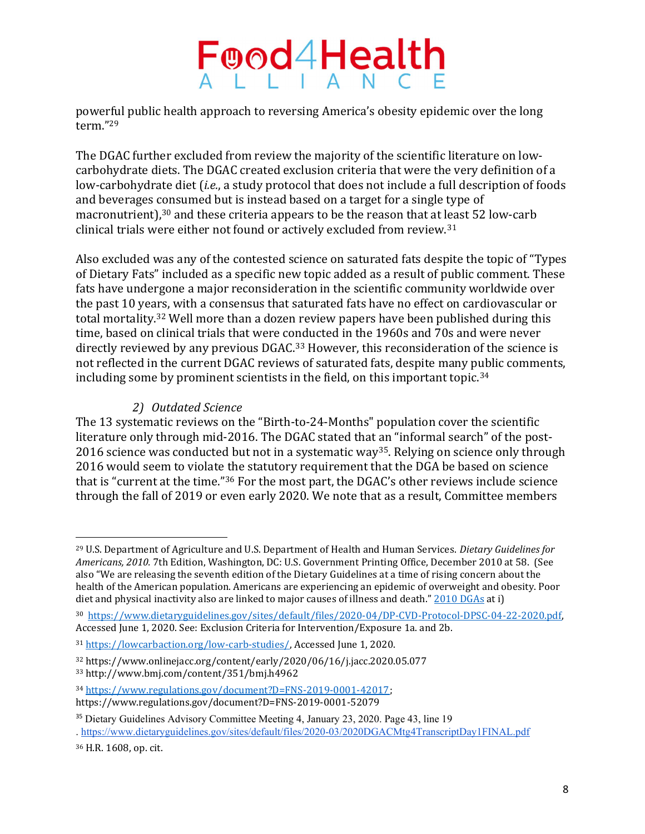powerful public health approach to reversing America's obesity epidemic over the long term."<sup>29</sup>

The DGAC further excluded from review the majority of the scientific literature on lowcarbohydrate diets. The DGAC created exclusion criteria that were the very definition of a low-carbohydrate diet *(i.e.,* a study protocol that does not include a full description of foods and beverages consumed but is instead based on a target for a single type of macronutrient),<sup>30</sup> and these criteria appears to be the reason that at least 52 low-carb clinical trials were either not found or actively excluded from review.<sup>31</sup>

Also excluded was any of the contested science on saturated fats despite the topic of "Types of Dietary Fats" included as a specific new topic added as a result of public comment. These fats have undergone a major reconsideration in the scientific community worldwide over the past 10 years, with a consensus that saturated fats have no effect on cardiovascular or total mortality.32 Well more than a dozen review papers have been published during this time, based on clinical trials that were conducted in the 1960s and 70s and were never directly reviewed by any previous DGAC.<sup>33</sup> However, this reconsideration of the science is not reflected in the current DGAC reviews of saturated fats, despite many public comments, including some by prominent scientists in the field, on this important topic.<sup>34</sup>

### 2) Outdated Science

The 13 systematic reviews on the "Birth-to-24-Months" population cover the scientific literature only through mid-2016. The DGAC stated that an "informal search" of the post-2016 science was conducted but not in a systematic way<sup>35</sup>. Relying on science only through 2016 would seem to violate the statutory requirement that the DGA be based on science that is "current at the time."36 For the most part, the DGAC's other reviews include science through the fall of 2019 or even early 2020. We note that as a result, Committee members

<sup>&</sup>lt;sup>29</sup> U.S. Department of Agriculture and U.S. Department of Health and Human Services. *Dietary Guidelines for* Americans, 2010. 7th Edition, Washington, DC: U.S. Government Printing Office, December 2010 at 58. (See also "We are releasing the seventh edition of the Dietary Guidelines at a time of rising concern about the health of the American population. Americans are experiencing an epidemic of overweight and obesity. Poor diet and physical inactivity also are linked to major causes of illness and death." 2010 DGAs at i)

<sup>30</sup> https://www.dietaryguidelines.gov/sites/default/files/2020-04/DP-CVD-Protocol-DPSC-04-22-2020.pdf, Accessed June 1, 2020. See: Exclusion Criteria for Intervention/Exposure 1a. and 2b.

<sup>31</sup> https://lowcarbaction.org/low-carb-studies/, Accessed June 1, 2020.

<sup>32</sup> https://www.onlinejacc.org/content/early/2020/06/16/j.jacc.2020.05.077

<sup>33</sup> http://www.bmj.com/content/351/bmj.h4962

<sup>34</sup> https://www.regulations.gov/document?D=FNS-2019-0001-42017; https://www.regulations.gov/document?D=FNS-2019-0001-52079

<sup>&</sup>lt;sup>35</sup> Dietary Guidelines Advisory Committee Meeting 4, January 23, 2020. Page 43, line 19 . https://www.dietaryguidelines.gov/sites/default/files/2020-03/2020DGACMtg4TranscriptDay1FINAL.pdf

<sup>36</sup> H.R. 1608, op. cit.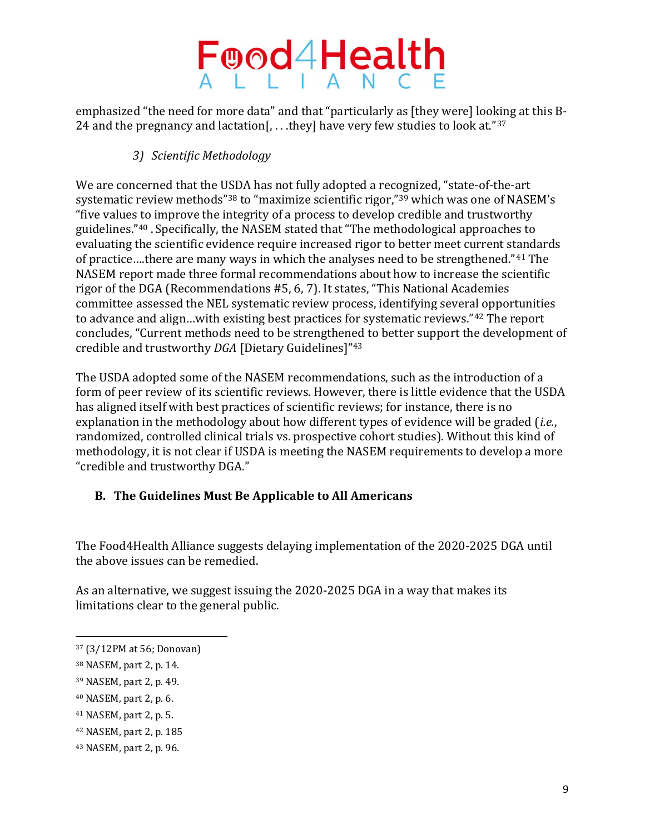emphasized "the need for more data" and that "particularly as [they were] looking at this B-24 and the pregnancy and lactation  $\left[ \ldots \right]$  have very few studies to look at."<sup>37</sup>

### 3) Scientific Methodology

We are concerned that the USDA has not fully adopted a recognized, "state-of-the-art systematic review methods"38 to "maximize scientific rigor,"39 which was one of NASEM's "five values to improve the integrity of a process to develop credible and trustworthy guidelines."40 . Specifically, the NASEM stated that "The methodological approaches to evaluating the scientific evidence require increased rigor to better meet current standards of practice….there are many ways in which the analyses need to be strengthened."41 The NASEM report made three formal recommendations about how to increase the scientific rigor of the DGA (Recommendations #5, 6, 7). It states, "This National Academies committee assessed the NEL systematic review process, identifying several opportunities to advance and align…with existing best practices for systematic reviews."42 The report concludes, "Current methods need to be strengthened to better support the development of credible and trustworthy DGA [Dietary Guidelines]"<sup>43</sup>

The USDA adopted some of the NASEM recommendations, such as the introduction of a form of peer review of its scientific reviews. However, there is little evidence that the USDA has aligned itself with best practices of scientific reviews; for instance, there is no explanation in the methodology about how different types of evidence will be graded (*i.e.*, randomized, controlled clinical trials vs. prospective cohort studies). Without this kind of methodology, it is not clear if USDA is meeting the NASEM requirements to develop a more "credible and trustworthy DGA."

### B. The Guidelines Must Be Applicable to All Americans

The Food4Health Alliance suggests delaying implementation of the 2020-2025 DGA until the above issues can be remedied.

As an alternative, we suggest issuing the 2020-2025 DGA in a way that makes its limitations clear to the general public.

<sup>37</sup> (3/12PM at 56; Donovan)

<sup>38</sup> NASEM, part 2, p. 14.

<sup>39</sup> NASEM, part 2, p. 49.

<sup>40</sup> NASEM, part 2, p. 6.

<sup>41</sup> NASEM, part 2, p. 5.

<sup>42</sup> NASEM, part 2, p. 185

<sup>43</sup> NASEM, part 2, p. 96.